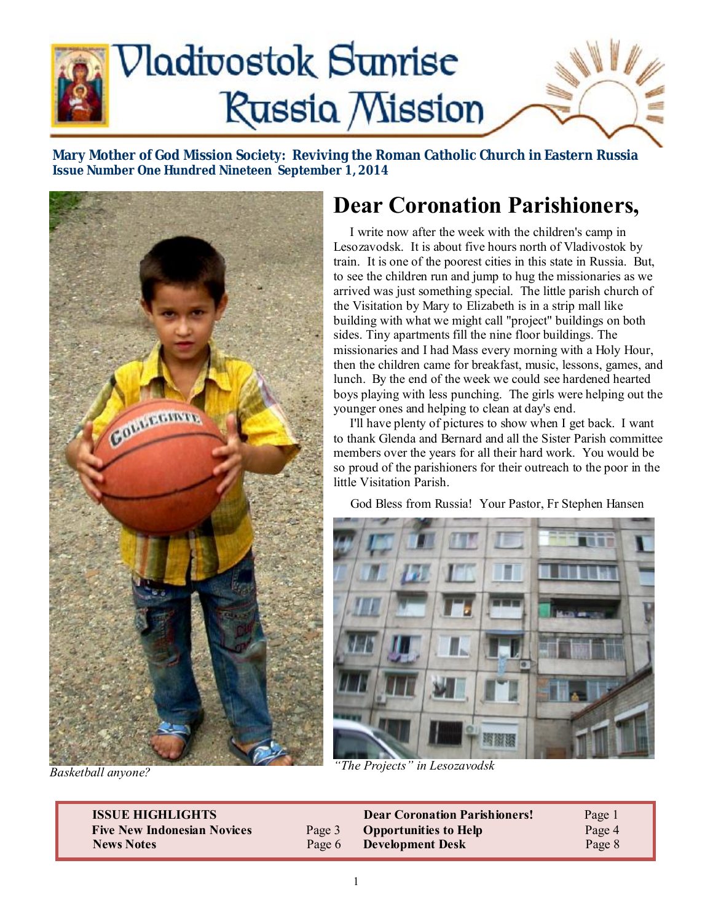

**Mary Mother of God Mission Society: Reviving the Roman Catholic Church in Eastern Russia Issue Number One Hundred Nineteen September 1, 2014** 



*Basketball anyone?* 

# **Dear Coronation Parishioners,**

 I write now after the week with the children's camp in Lesozavodsk. It is about five hours north of Vladivostok by train. It is one of the poorest cities in this state in Russia. But, to see the children run and jump to hug the missionaries as we arrived was just something special. The little parish church of the Visitation by Mary to Elizabeth is in a strip mall like building with what we might call "project" buildings on both sides. Tiny apartments fill the nine floor buildings. The missionaries and I had Mass every morning with a Holy Hour, then the children came for breakfast, music, lessons, games, and lunch. By the end of the week we could see hardened hearted boys playing with less punching. The girls were helping out the younger ones and helping to clean at day's end.

 I'll have plenty of pictures to show when I get back. I want to thank Glenda and Bernard and all the Sister Parish committee members over the years for all their hard work. You would be so proud of the parishioners for their outreach to the poor in the little Visitation Parish.

God Bless from Russia! Your Pastor, Fr Stephen Hansen



*"The Projects" in Lesozavodsk* 

| <b>ISSUE HIGHLIGHTS</b>            |        | <b>Dear Coronation Parishioners!</b> | Page 1 |
|------------------------------------|--------|--------------------------------------|--------|
| <b>Five New Indonesian Novices</b> | Page 3 | <b>Opportunities to Help</b>         | Page 4 |
| News Notes                         | Page 6 | <b>Development Desk</b>              | Page 8 |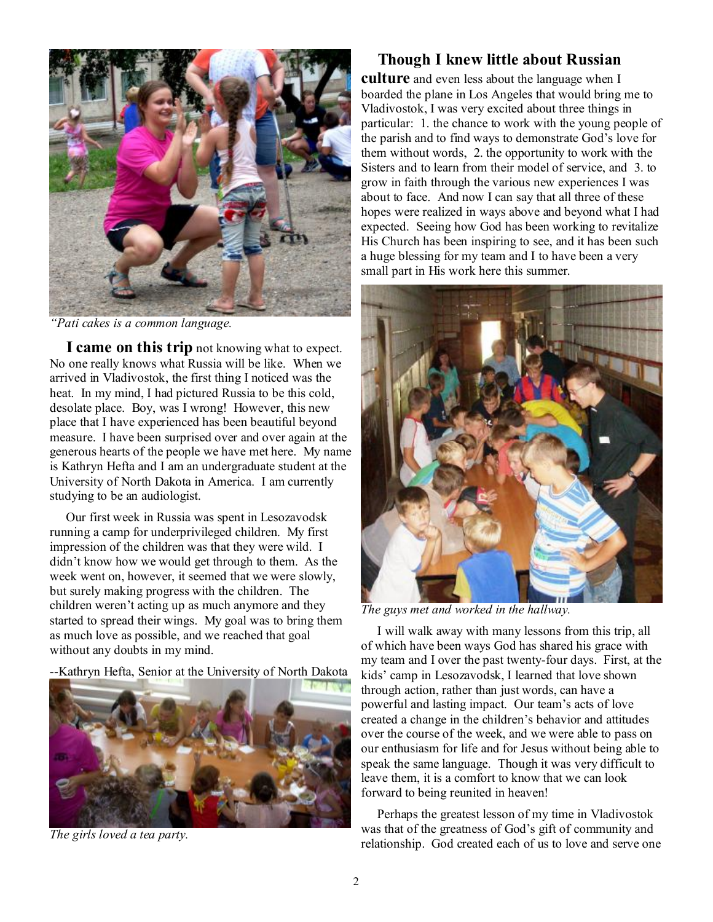

*"Pati cakes is a common language.* 

 **I came on this trip** not knowing what to expect. No one really knows what Russia will be like. When we arrived in Vladivostok, the first thing I noticed was the heat. In my mind, I had pictured Russia to be this cold, desolate place. Boy, was I wrong! However, this new place that I have experienced has been beautiful beyond measure. I have been surprised over and over again at the generous hearts of the people we have met here. My name is Kathryn Hefta and I am an undergraduate student at the University of North Dakota in America. I am currently studying to be an audiologist.

 Our first week in Russia was spent in Lesozavodsk running a camp for underprivileged children. My first impression of the children was that they were wild. I didn't know how we would get through to them. As the week went on, however, it seemed that we were slowly, but surely making progress with the children. The children weren't acting up as much anymore and they started to spread their wings. My goal was to bring them as much love as possible, and we reached that goal without any doubts in my mind.

--Kathryn Hefta, Senior at the University of North Dakota



*The girls loved a tea party.* 

### **Though I knew little about Russian**

**culture** and even less about the language when I boarded the plane in Los Angeles that would bring me to Vladivostok, I was very excited about three things in particular: 1. the chance to work with the young people of the parish and to find ways to demonstrate God's love for them without words, 2. the opportunity to work with the Sisters and to learn from their model of service, and 3. to grow in faith through the various new experiences I was about to face. And now I can say that all three of these hopes were realized in ways above and beyond what I had expected. Seeing how God has been working to revitalize His Church has been inspiring to see, and it has been such a huge blessing for my team and I to have been a very small part in His work here this summer.



*The guys met and worked in the hallway.* 

 I will walk away with many lessons from this trip, all of which have been ways God has shared his grace with my team and I over the past twenty-four days. First, at the kids' camp in Lesozavodsk, I learned that love shown through action, rather than just words, can have a powerful and lasting impact. Our team's acts of love created a change in the children's behavior and attitudes over the course of the week, and we were able to pass on our enthusiasm for life and for Jesus without being able to speak the same language. Though it was very difficult to leave them, it is a comfort to know that we can look forward to being reunited in heaven!

 Perhaps the greatest lesson of my time in Vladivostok was that of the greatness of God's gift of community and relationship. God created each of us to love and serve one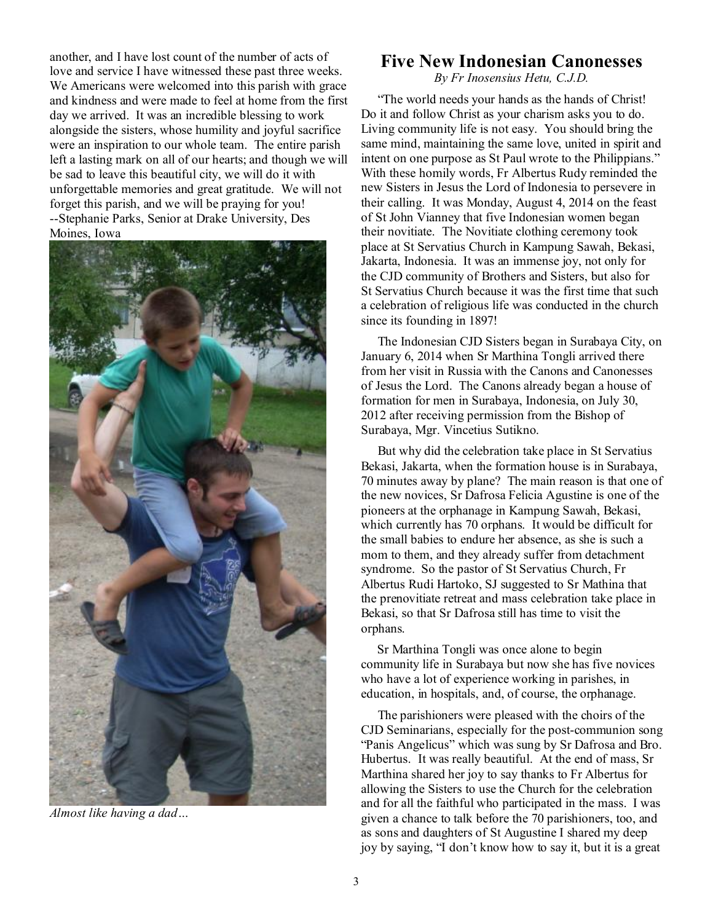another, and I have lost count of the number of acts of love and service I have witnessed these past three weeks. We Americans were welcomed into this parish with grace and kindness and were made to feel at home from the first day we arrived. It was an incredible blessing to work alongside the sisters, whose humility and joyful sacrifice were an inspiration to our whole team. The entire parish left a lasting mark on all of our hearts; and though we will be sad to leave this beautiful city, we will do it with unforgettable memories and great gratitude. We will not forget this parish, and we will be praying for you! --Stephanie Parks, Senior at Drake University, Des Moines, Iowa



*Almost like having a dad…* 

### **Five New Indonesian Canonesses**

*By Fr Inosensius Hetu, C.J.D.* 

 "The world needs your hands as the hands of Christ! Do it and follow Christ as your charism asks you to do. Living community life is not easy. You should bring the same mind, maintaining the same love, united in spirit and intent on one purpose as St Paul wrote to the Philippians." With these homily words, Fr Albertus Rudy reminded the new Sisters in Jesus the Lord of Indonesia to persevere in their calling. It was Monday, August 4, 2014 on the feast of St John Vianney that five Indonesian women began their novitiate. The Novitiate clothing ceremony took place at St Servatius Church in Kampung Sawah, Bekasi, Jakarta, Indonesia. It was an immense joy, not only for the CJD community of Brothers and Sisters, but also for St Servatius Church because it was the first time that such a celebration of religious life was conducted in the church since its founding in 1897!

 The Indonesian CJD Sisters began in Surabaya City, on January 6, 2014 when Sr Marthina Tongli arrived there from her visit in Russia with the Canons and Canonesses of Jesus the Lord. The Canons already began a house of formation for men in Surabaya, Indonesia, on July 30, 2012 after receiving permission from the Bishop of Surabaya, Mgr. Vincetius Sutikno.

 But why did the celebration take place in St Servatius Bekasi, Jakarta, when the formation house is in Surabaya, 70 minutes away by plane? The main reason is that one of the new novices, Sr Dafrosa Felicia Agustine is one of the pioneers at the orphanage in Kampung Sawah, Bekasi, which currently has 70 orphans. It would be difficult for the small babies to endure her absence, as she is such a mom to them, and they already suffer from detachment syndrome. So the pastor of St Servatius Church, Fr Albertus Rudi Hartoko, SJ suggested to Sr Mathina that the prenovitiate retreat and mass celebration take place in Bekasi, so that Sr Dafrosa still has time to visit the orphans.

 Sr Marthina Tongli was once alone to begin community life in Surabaya but now she has five novices who have a lot of experience working in parishes, in education, in hospitals, and, of course, the orphanage.

 The parishioners were pleased with the choirs of the CJD Seminarians, especially for the post-communion song "Panis Angelicus" which was sung by Sr Dafrosa and Bro. Hubertus. It was really beautiful. At the end of mass, Sr Marthina shared her joy to say thanks to Fr Albertus for allowing the Sisters to use the Church for the celebration and for all the faithful who participated in the mass. I was given a chance to talk before the 70 parishioners, too, and as sons and daughters of St Augustine I shared my deep joy by saying, "I don't know how to say it, but it is a great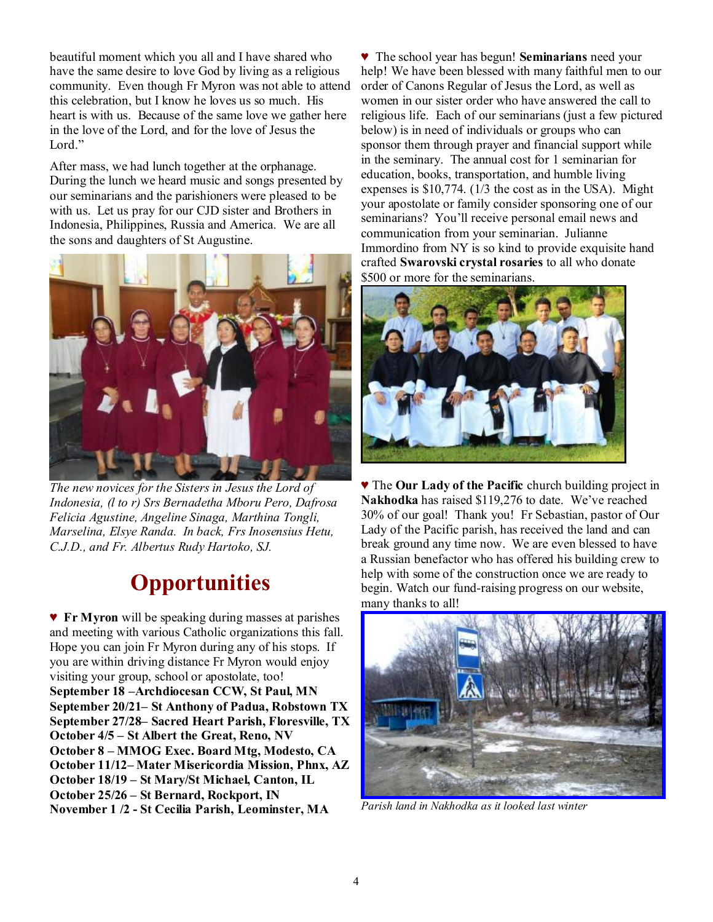beautiful moment which you all and I have shared who have the same desire to love God by living as a religious community. Even though Fr Myron was not able to attend this celebration, but I know he loves us so much. His heart is with us. Because of the same love we gather here in the love of the Lord, and for the love of Jesus the Lord."

After mass, we had lunch together at the orphanage. During the lunch we heard music and songs presented by our seminarians and the parishioners were pleased to be with us. Let us pray for our CJD sister and Brothers in Indonesia, Philippines, Russia and America. We are all the sons and daughters of St Augustine.



*The new novices for the Sisters in Jesus the Lord of Indonesia, (l to r) Srs Bernadetha Mboru Pero, Dafrosa Felicia Agustine, Angeline Sinaga, Marthina Tongli, Marselina, Elsye Randa. In back, Frs Inosensius Hetu, C.J.D., and Fr. Albertus Rudy Hartoko, SJ.* 

# **Opportunities**

♥ **Fr Myron** will be speaking during masses at parishes and meeting with various Catholic organizations this fall. Hope you can join Fr Myron during any of his stops. If you are within driving distance Fr Myron would enjoy visiting your group, school or apostolate, too! **September 18 –Archdiocesan CCW, St Paul, MN September 20/21– St Anthony of Padua, Robstown TX September 27/28– Sacred Heart Parish, Floresville, TX October 4/5 – St Albert the Great, Reno, NV October 8 – MMOG Exec. Board Mtg, Modesto, CA October 11/12– Mater Misericordia Mission, Phnx, AZ October 18/19 – St Mary/St Michael, Canton, IL October 25/26 – St Bernard, Rockport, IN November 1 /2 - St Cecilia Parish, Leominster, MA** 

♥ The school year has begun! **Seminarians** need your help! We have been blessed with many faithful men to our order of Canons Regular of Jesus the Lord, as well as women in our sister order who have answered the call to religious life. Each of our seminarians (just a few pictured below) is in need of individuals or groups who can sponsor them through prayer and financial support while in the seminary. The annual cost for 1 seminarian for education, books, transportation, and humble living expenses is \$10,774. (1/3 the cost as in the USA). Might your apostolate or family consider sponsoring one of our seminarians? You'll receive personal email news and communication from your seminarian. Julianne Immordino from NY is so kind to provide exquisite hand crafted **Swarovski crystal rosaries** to all who donate \$500 or more for the seminarians.



♥ The **Our Lady of the Pacific** church building project in **Nakhodka** has raised \$119,276 to date. We've reached 30% of our goal! Thank you! Fr Sebastian, pastor of Our Lady of the Pacific parish, has received the land and can break ground any time now. We are even blessed to have a Russian benefactor who has offered his building crew to help with some of the construction once we are ready to begin. Watch our fund-raising progress on our website, many thanks to all!



*Parish land in Nakhodka as it looked last winter*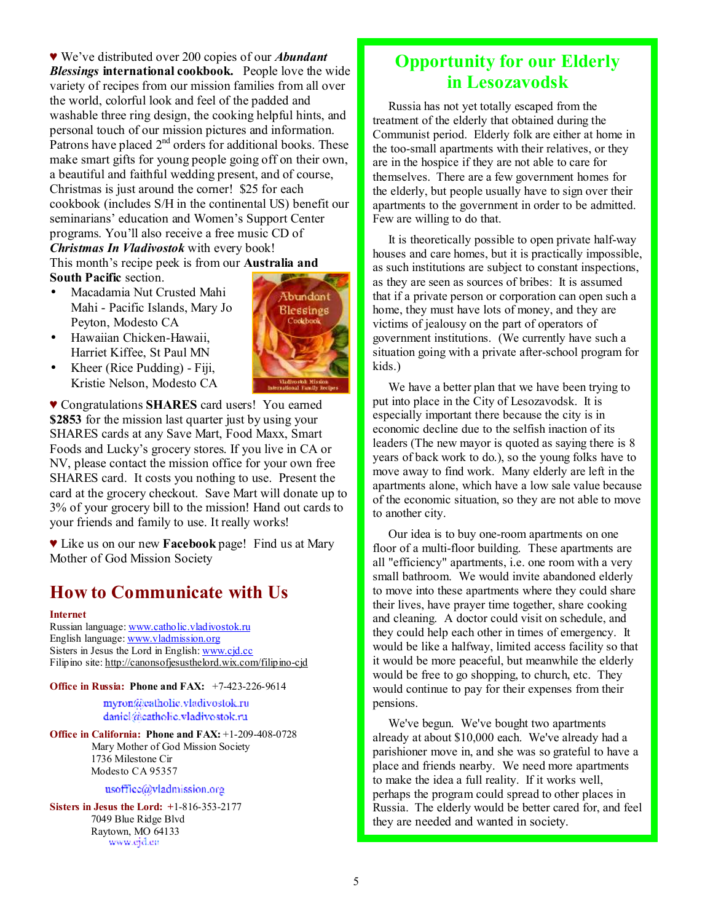♥ We've distributed over 200 copies of our *Abundant Blessings* **international cookbook.** People love the wide variety of recipes from our mission families from all over the world, colorful look and feel of the padded and washable three ring design, the cooking helpful hints, and personal touch of our mission pictures and information. Patrons have placed  $2<sup>nd</sup>$  orders for additional books. These make smart gifts for young people going off on their own, a beautiful and faithful wedding present, and of course, Christmas is just around the corner! \$25 for each cookbook (includes S/H in the continental US) benefit our seminarians' education and Women's Support Center programs. You'll also receive a free music CD of *Christmas In Vladivostok* with every book! This month's recipe peek is from our **Australia and** 

- **South Pacific** section. • Macadamia Nut Crusted Mahi Mahi - Pacific Islands, Mary Jo Peyton, Modesto CA
- Hawaiian Chicken-Hawaii, Harriet Kiffee, St Paul MN
- Kheer (Rice Pudding) Fiji, Kristie Nelson, Modesto CA



♥ Congratulations **SHARES** card users! You earned **\$2853** for the mission last quarter just by using your SHARES cards at any Save Mart, Food Maxx, Smart Foods and Lucky's grocery stores. If you live in CA or NV, please contact the mission office for your own free SHARES card. It costs you nothing to use. Present the card at the grocery checkout. Save Mart will donate up to 3% of your grocery bill to the mission! Hand out cards to your friends and family to use. It really works!

♥ Like us on our new **Facebook** page! Find us at Mary Mother of God Mission Society

## **How to Communicate with Us**

#### **Internet**

Russian language: [www.catholic.vladivostok.ru](http://www.catholic.vladivostok.ru) English language: [www.vladmission.org](http://www.vladmission.org) Sisters in Jesus the Lord in English: [www.cjd.cc](http://www.cjd.cc) Filipino site:<http://canonsofjesusthelord.wix.com/filipino-cjd>

**Office in Russia: Phone and FAX:** +7-423-226-9614

myron@catholic.vladivostok.ru daniel@eatholic.vladivostok.ru

**Office in California: Phone and FAX:** +1-209-408-0728 Mary Mother of God Mission Society 1736 Milestone Cir Modesto CA 95357

#### usoffice@vladmission.org

**Sisters in Jesus the Lord: +**1-816-353-2177 7049 Blue Ridge Blvd Raytown, MO 64133

### **Opportunity for our Elderly in Lesozavodsk**

Russia has not yet totally escaped from the treatment of the elderly that obtained during the Communist period. Elderly folk are either at home in the too-small apartments with their relatives, or they are in the hospice if they are not able to care for themselves. There are a few government homes for the elderly, but people usually have to sign over their apartments to the government in order to be admitted. Few are willing to do that.

It is theoretically possible to open private half-way houses and care homes, but it is practically impossible, as such institutions are subject to constant inspections, as they are seen as sources of bribes: It is assumed that if a private person or corporation can open such a home, they must have lots of money, and they are victims of jealousy on the part of operators of government institutions. (We currently have such a situation going with a private after-school program for kids.)

We have a better plan that we have been trying to put into place in the City of Lesozavodsk. It is especially important there because the city is in economic decline due to the selfish inaction of its leaders (The new mayor is quoted as saying there is 8 years of back work to do.), so the young folks have to move away to find work. Many elderly are left in the apartments alone, which have a low sale value because of the economic situation, so they are not able to move to another city.

Our idea is to buy one-room apartments on one floor of a multi-floor building. These apartments are all "efficiency" apartments, i.e. one room with a very small bathroom. We would invite abandoned elderly to move into these apartments where they could share their lives, have prayer time together, share cooking and cleaning. A doctor could visit on schedule, and they could help each other in times of emergency. It would be like a halfway, limited access facility so that it would be more peaceful, but meanwhile the elderly would be free to go shopping, to church, etc. They would continue to pay for their expenses from their pensions.

We've begun. We've bought two apartments already at about \$10,000 each. We've already had a parishioner move in, and she was so grateful to have a place and friends nearby. We need more apartments to make the idea a full reality. If it works well, perhaps the program could spread to other places in Russia. The elderly would be better cared for, and feel they are needed and wanted in society.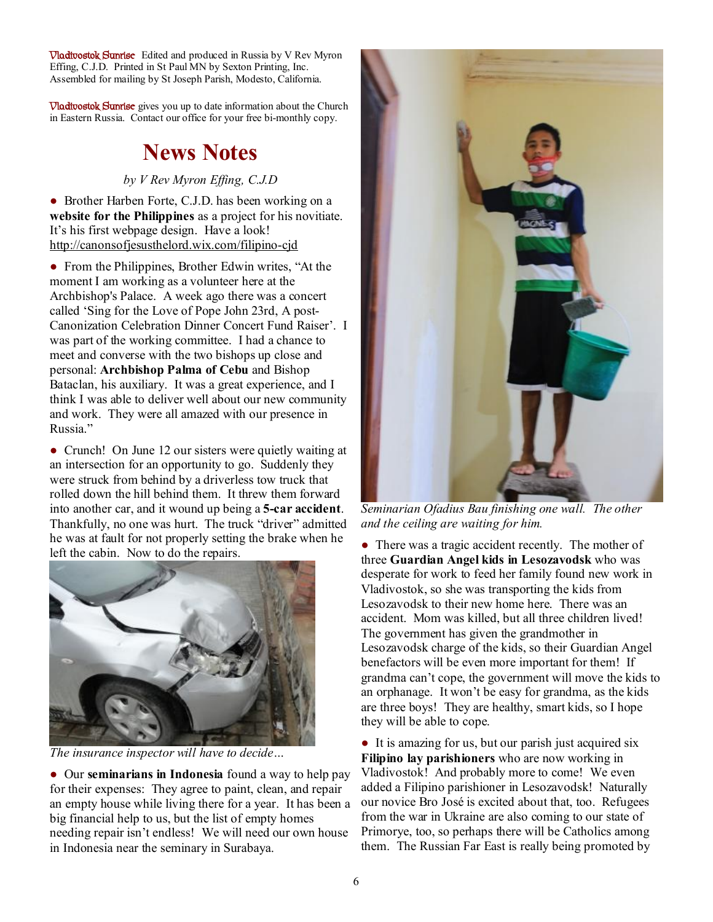**Vladivostok Sunrise** Edited and produced in Russia by V Rev Myron Effing, C.J.D. Printed in St Paul MN by Sexton Printing, Inc. Assembled for mailing by St Joseph Parish, Modesto, California.

**Vladivostok Sunrise** gives you up to date information about the Church in Eastern Russia. Contact our office for your free bi-monthly copy.

## **News Notes**

#### *by V Rev Myron Effing, C.J.D*

• Brother Harben Forte, C.J.D. has been working on a **website for the Philippines** as a project for his novitiate. It's his first webpage design. Have a look! <http://canonsofjesusthelord.wix.com/filipino-cjd>

• From the Philippines, Brother Edwin writes, "At the moment I am working as a volunteer here at the Archbishop's Palace. A week ago there was a concert called 'Sing for the Love of Pope John 23rd, A post-Canonization Celebration Dinner Concert Fund Raiser'. I was part of the working committee. I had a chance to meet and converse with the two bishops up close and personal: **Archbishop Palma of Cebu** and Bishop Bataclan, his auxiliary. It was a great experience, and I think I was able to deliver well about our new community and work. They were all amazed with our presence in Russia."

• Crunch! On June 12 our sisters were quietly waiting at an intersection for an opportunity to go. Suddenly they were struck from behind by a driverless tow truck that rolled down the hill behind them. It threw them forward into another car, and it wound up being a **5-car accident**. Thankfully, no one was hurt. The truck "driver" admitted he was at fault for not properly setting the brake when he left the cabin. Now to do the repairs.



*The insurance inspector will have to decide…* 

● Our **seminarians in Indonesia** found a way to help pay for their expenses: They agree to paint, clean, and repair an empty house while living there for a year. It has been a big financial help to us, but the list of empty homes needing repair isn't endless! We will need our own house in Indonesia near the seminary in Surabaya.



*Seminarian Ofadius Bau finishing one wall. The other and the ceiling are waiting for him.* 

• There was a tragic accident recently. The mother of three **Guardian Angel kids in Lesozavodsk** who was desperate for work to feed her family found new work in Vladivostok, so she was transporting the kids from Lesozavodsk to their new home here. There was an accident. Mom was killed, but all three children lived! The government has given the grandmother in Lesozavodsk charge of the kids, so their Guardian Angel benefactors will be even more important for them! If grandma can't cope, the government will move the kids to an orphanage. It won't be easy for grandma, as the kids are three boys! They are healthy, smart kids, so I hope they will be able to cope.

● It is amazing for us, but our parish just acquired six **Filipino lay parishioners** who are now working in Vladivostok! And probably more to come! We even added a Filipino parishioner in Lesozavodsk! Naturally our novice Bro José is excited about that, too. Refugees from the war in Ukraine are also coming to our state of Primorye, too, so perhaps there will be Catholics among them. The Russian Far East is really being promoted by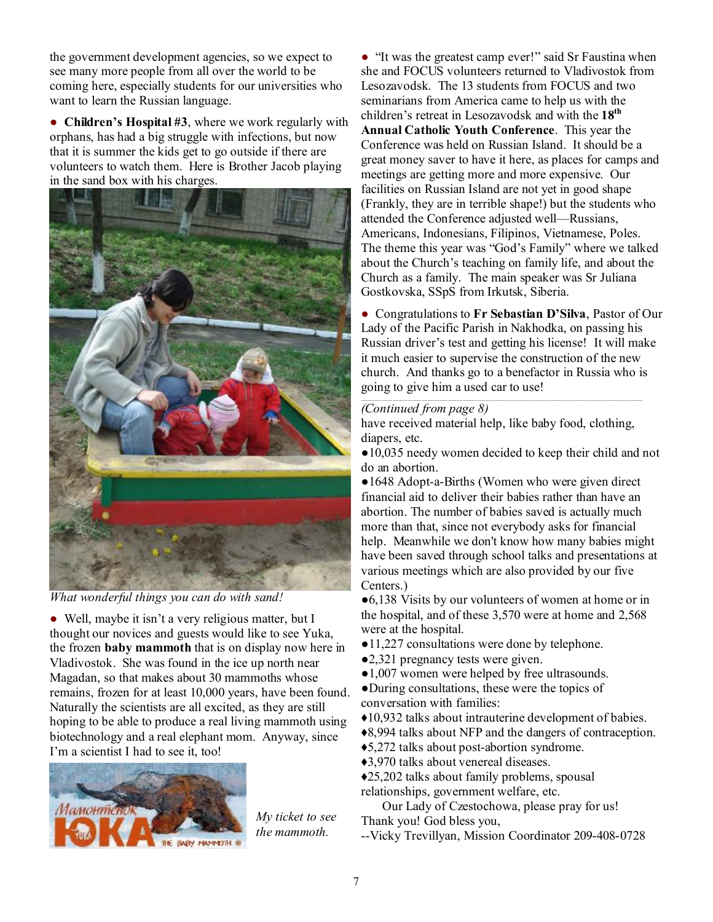the government development agencies, so we expect to see many more people from all over the world to be coming here, especially students for our universities who want to learn the Russian language.

● **Children's Hospital #3**, where we work regularly with orphans, has had a big struggle with infections, but now that it is summer the kids get to go outside if there are volunteers to watch them. Here is Brother Jacob playing in the sand box with his charges.



*What wonderful things you can do with sand!* 

• Well, maybe it isn't a very religious matter, but I thought our novices and guests would like to see Yuka, the frozen **baby mammoth** that is on display now here in Vladivostok. She was found in the ice up north near Magadan, so that makes about 30 mammoths whose remains, frozen for at least 10,000 years, have been found. Naturally the scientists are all excited, as they are still hoping to be able to produce a real living mammoth using biotechnology and a real elephant mom. Anyway, since I'm a scientist I had to see it, too!



*My ticket to see the mammoth.* 

● "It was the greatest camp ever!" said Sr Faustina when she and FOCUS volunteers returned to Vladivostok from Lesozavodsk. The 13 students from FOCUS and two seminarians from America came to help us with the children's retreat in Lesozavodsk and with the **18th Annual Catholic Youth Conference**. This year the Conference was held on Russian Island. It should be a great money saver to have it here, as places for camps and meetings are getting more and more expensive. Our facilities on Russian Island are not yet in good shape (Frankly, they are in terrible shape!) but the students who attended the Conference adjusted well—Russians, Americans, Indonesians, Filipinos, Vietnamese, Poles. The theme this year was "God's Family" where we talked about the Church's teaching on family life, and about the Church as a family. The main speaker was Sr Juliana Gostkovska, SSpS from Irkutsk, Siberia.

● Congratulations to **Fr Sebastian D'Silva**, Pastor of Our Lady of the Pacific Parish in Nakhodka, on passing his Russian driver's test and getting his license! It will make it much easier to supervise the construction of the new church. And thanks go to a benefactor in Russia who is going to give him a used car to use!

#### *(Continued from page 8)*

have received material help, like baby food, clothing, diapers, etc.

●10,035 needy women decided to keep their child and not do an abortion.

• 1648 Adopt-a-Births (Women who were given direct financial aid to deliver their babies rather than have an abortion. The number of babies saved is actually much more than that, since not everybody asks for financial help. Meanwhile we don't know how many babies might have been saved through school talks and presentations at various meetings which are also provided by our five Centers.)

●6,138 Visits by our volunteers of women at home or in the hospital, and of these 3,570 were at home and 2,568 were at the hospital.

- 11,227 consultations were done by telephone.
- ●2,321 pregnancy tests were given.
- ●1,007 women were helped by free ultrasounds.
- ●During consultations, these were the topics of conversation with families:

♦10,932 talks about intrauterine development of babies.

♦8,994 talks about NFP and the dangers of contraception.

♦5,272 talks about post-abortion syndrome.

♦3,970 talks about venereal diseases.

♦25,202 talks about family problems, spousal relationships, government welfare, etc.

Our Lady of Czestochowa, please pray for us! Thank you! God bless you,

--Vicky Trevillyan, Mission Coordinator 209-408-0728